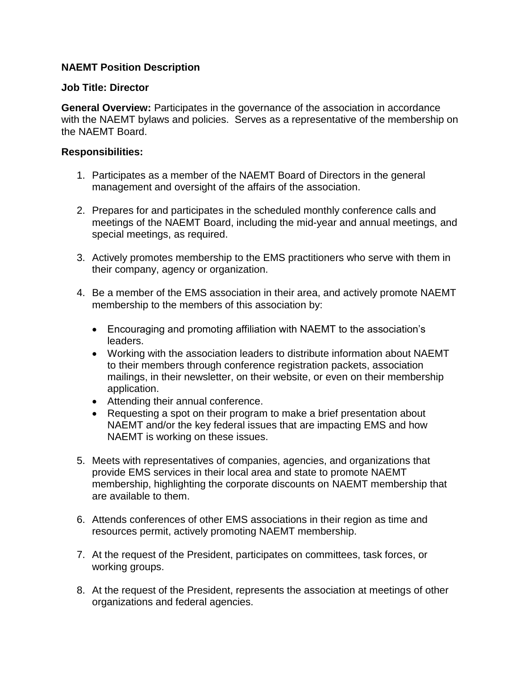## **NAEMT Position Description**

## **Job Title: Director**

**General Overview:** Participates in the governance of the association in accordance with the NAEMT bylaws and policies. Serves as a representative of the membership on the NAEMT Board.

## **Responsibilities:**

- 1. Participates as a member of the NAEMT Board of Directors in the general management and oversight of the affairs of the association.
- 2. Prepares for and participates in the scheduled monthly conference calls and meetings of the NAEMT Board, including the mid-year and annual meetings, and special meetings, as required.
- 3. Actively promotes membership to the EMS practitioners who serve with them in their company, agency or organization.
- 4. Be a member of the EMS association in their area, and actively promote NAEMT membership to the members of this association by:
	- Encouraging and promoting affiliation with NAEMT to the association's leaders.
	- Working with the association leaders to distribute information about NAEMT to their members through conference registration packets, association mailings, in their newsletter, on their website, or even on their membership application.
	- Attending their annual conference.
	- Requesting a spot on their program to make a brief presentation about NAEMT and/or the key federal issues that are impacting EMS and how NAEMT is working on these issues.
- 5. Meets with representatives of companies, agencies, and organizations that provide EMS services in their local area and state to promote NAEMT membership, highlighting the corporate discounts on NAEMT membership that are available to them.
- 6. Attends conferences of other EMS associations in their region as time and resources permit, actively promoting NAEMT membership.
- 7. At the request of the President, participates on committees, task forces, or working groups.
- 8. At the request of the President, represents the association at meetings of other organizations and federal agencies.